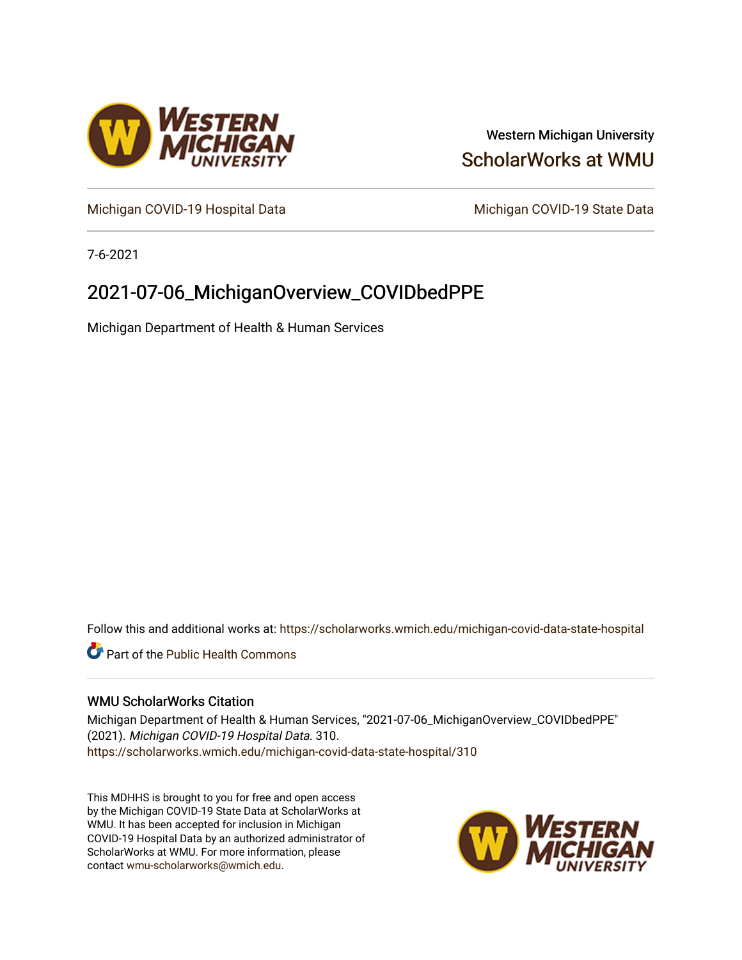

## Western Michigan University [ScholarWorks at WMU](https://scholarworks.wmich.edu/)

[Michigan COVID-19 Hospital Data](https://scholarworks.wmich.edu/michigan-covid-data-state-hospital) Michigan COVID-19 State Data

7-6-2021

# 2021-07-06\_MichiganOverview\_COVIDbedPPE

Michigan Department of Health & Human Services

Follow this and additional works at: [https://scholarworks.wmich.edu/michigan-covid-data-state-hospital](https://scholarworks.wmich.edu/michigan-covid-data-state-hospital?utm_source=scholarworks.wmich.edu%2Fmichigan-covid-data-state-hospital%2F310&utm_medium=PDF&utm_campaign=PDFCoverPages) 

**Part of the Public Health Commons** 

## WMU ScholarWorks Citation

Michigan Department of Health & Human Services, "2021-07-06\_MichiganOverview\_COVIDbedPPE" (2021). Michigan COVID-19 Hospital Data. 310. [https://scholarworks.wmich.edu/michigan-covid-data-state-hospital/310](https://scholarworks.wmich.edu/michigan-covid-data-state-hospital/310?utm_source=scholarworks.wmich.edu%2Fmichigan-covid-data-state-hospital%2F310&utm_medium=PDF&utm_campaign=PDFCoverPages) 

This MDHHS is brought to you for free and open access by the Michigan COVID-19 State Data at ScholarWorks at WMU. It has been accepted for inclusion in Michigan COVID-19 Hospital Data by an authorized administrator of ScholarWorks at WMU. For more information, please contact [wmu-scholarworks@wmich.edu](mailto:wmu-scholarworks@wmich.edu).

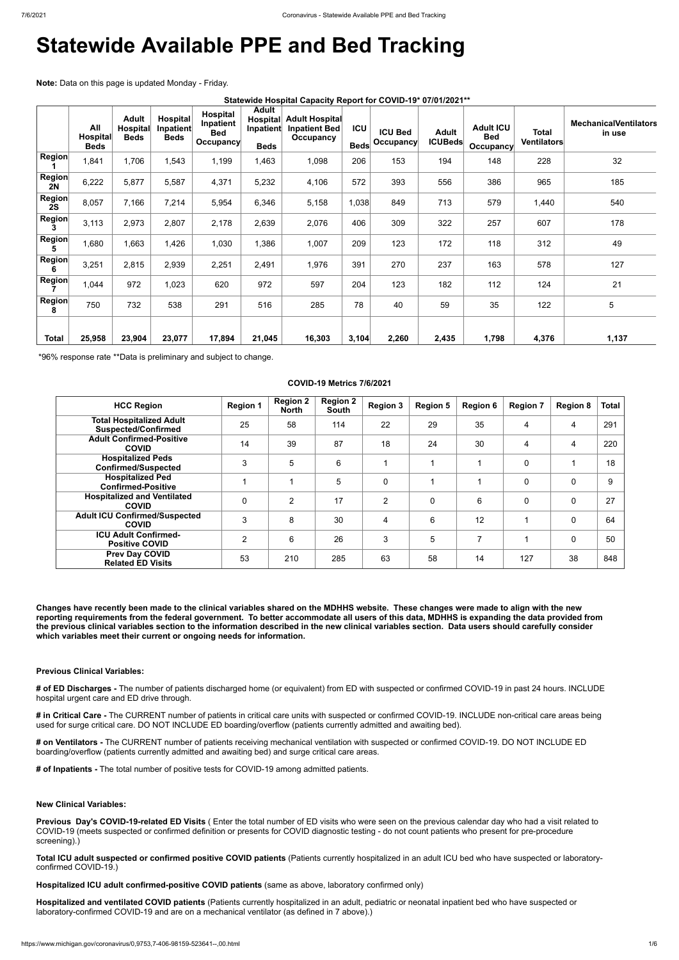# **Statewide Available PPE and Bed Tracking**

**Note:** Data on this page is updated Monday - Friday.

|  | Statewide Hospital Capacity Report for COVID-19* 07/01/2021** |  |  |
|--|---------------------------------------------------------------|--|--|
|--|---------------------------------------------------------------|--|--|

|                     | All<br><b>Hospital</b><br><b>Beds</b> | <b>Adult</b><br><b>Hospital</b><br><b>Beds</b> | Hospital<br>Inpatient<br><b>Beds</b> | <b>Hospital</b><br>Inpatient<br><b>Bed</b><br><b>Occupancy</b> | <b>Adult</b><br><b>Hospital</b><br>Inpatient<br><b>Beds</b> | <b>Adult Hospital</b><br><b>Inpatient Bed</b><br>Occupancy | <b>ICU</b><br><b>Beds</b> | <b>ICU Bed</b><br>Occupancy | <b>Adult</b><br><b>ICUBeds</b> | <b>Adult ICU</b><br><b>Bed</b><br><b>Occupancy</b> | Total<br>Ventilators | <b>MechanicalVentilators</b><br>in use |
|---------------------|---------------------------------------|------------------------------------------------|--------------------------------------|----------------------------------------------------------------|-------------------------------------------------------------|------------------------------------------------------------|---------------------------|-----------------------------|--------------------------------|----------------------------------------------------|----------------------|----------------------------------------|
| <b>Region</b>       | 1,841                                 | 1,706                                          | 1,543                                | 1,199                                                          | A63,                                                        | 1,098                                                      | 206                       | 153                         | 194                            | 148                                                | 228                  | 32                                     |
| <b>Region</b><br>2N | 6,222                                 | 5,877                                          | 5,587                                | 4,371                                                          | 5,232                                                       | 4,106                                                      | 572                       | 393                         | 556                            | 386                                                | 965                  | 185                                    |
| <b>Region</b><br>2S | 8,057                                 | 7,166                                          | 7,214                                | 5,954                                                          | 6,346                                                       | 5,158                                                      | 1,038                     | 849                         | 713                            | 579                                                | 1,440                | 540                                    |
| <b>Region</b>       | 3,113                                 | 2,973                                          | 2,807                                | 2,178                                                          | 2,639                                                       | 2,076                                                      | 406                       | 309                         | 322                            | 257                                                | 607                  | 178                                    |
| <b>Region</b><br>5  | 1,680                                 | 1,663                                          | 1,426                                | 1,030                                                          | 1,386                                                       | 1,007                                                      | 209                       | 123                         | 172                            | 118                                                | 312                  | 49                                     |
| <b>Region</b><br>6  | 3,251                                 | 2,815                                          | 2,939                                | 2,251                                                          | 2,491                                                       | 1,976                                                      | 391                       | 270                         | 237                            | 163                                                | 578                  | 127                                    |
| <b>Region</b>       | 1,044                                 | 972                                            | 1,023                                | 620                                                            | 972                                                         | 597                                                        | 204                       | 123                         | 182                            | 112                                                | 124                  | 21                                     |
| <b>Region</b><br>8  | 750                                   | 732                                            | 538                                  | 291                                                            | 516                                                         | 285                                                        | 78                        | 40                          | 59                             | 35                                                 | 122                  | 5                                      |
| <b>Total</b>        | 25,958                                | 23,904                                         | 23,077                               | 17,894                                                         | 21,045                                                      | 16,303                                                     | 3,104                     | 2,260                       | 2,435                          | 1,798                                              | 4,376                | 1,137                                  |

\*96% response rate \*\*Data is preliminary and subject to change.

#### **COVID-19 Metrics 7/6/2021**

| <b>HCC Region</b>                                             | <b>Region 1</b> | <b>Region 2</b><br><b>North</b> | <b>Region 2</b><br>South | <b>Region 3</b> | <b>Region 5</b> | <b>Region 6</b> | <b>Region 7</b> | <b>Region 8</b> | <b>Total</b> |
|---------------------------------------------------------------|-----------------|---------------------------------|--------------------------|-----------------|-----------------|-----------------|-----------------|-----------------|--------------|
| <b>Total Hospitalized Adult</b><br><b>Suspected/Confirmed</b> | 25              | 58                              | 114                      | 22              | 29              | 35              | 4               | 4               | 291          |
| <b>Adult Confirmed-Positive</b><br><b>COVID</b>               | 14              | 39                              | 87                       | 18              | 24              | 30              | 4               | 4               | 220          |
| <b>Hospitalized Peds</b><br><b>Confirmed/Suspected</b>        | 3               | 5                               | 6                        |                 |                 |                 | $\mathbf 0$     |                 | 18           |
| <b>Hospitalized Ped</b><br><b>Confirmed-Positive</b>          |                 |                                 | 5                        | $\mathbf 0$     |                 |                 | 0               | 0               | 9            |
| <b>Hospitalized and Ventilated</b><br><b>COVID</b>            | $\Omega$        | $\overline{2}$                  | 17                       | 2               | $\mathbf 0$     | 6               | $\Omega$        | 0               | 27           |
| <b>Adult ICU Confirmed/Suspected</b><br><b>COVID</b>          | 3               | 8                               | 30                       | 4               | 6               | 12              |                 | 0               | 64           |
| <b>ICU Adult Confirmed-</b><br><b>Positive COVID</b>          | $\overline{2}$  | 6                               | 26                       | 3               | 5               | 7               |                 | 0               | 50           |
| <b>Prev Day COVID</b><br><b>Related ED Visits</b>             | 53              | 210                             | 285                      | 63              | 58              | 14              | 127             | 38              | 848          |

**Changes have recently been made to the clinical variables shared on the MDHHS website. These changes were made to align with the new reporting requirements from the federal government. To better accommodate all users of this data, MDHHS is expanding the data provided from the previous clinical variables section to the information described in the new clinical variables section. Data users should carefully consider which variables meet their current or ongoing needs for information.**

#### **Previous Clinical Variables:**

**# of ED Discharges -** The number of patients discharged home (or equivalent) from ED with suspected or confirmed COVID-19 in past 24 hours. INCLUDE hospital urgent care and ED drive through.

**# in Critical Care -** The CURRENT number of patients in critical care units with suspected or confirmed COVID-19. INCLUDE non-critical care areas being

used for surge critical care. DO NOT INCLUDE ED boarding/overflow (patients currently admitted and awaiting bed).

**# on Ventilators -** The CURRENT number of patients receiving mechanical ventilation with suspected or confirmed COVID-19. DO NOT INCLUDE ED boarding/overflow (patients currently admitted and awaiting bed) and surge critical care areas.

**# of Inpatients -** The total number of positive tests for COVID-19 among admitted patients.

**New Clinical Variables:**

**Previous Day's COVID-19-related ED Visits** ( Enter the total number of ED visits who were seen on the previous calendar day who had a visit related to COVID-19 (meets suspected or confirmed definition or presents for COVID diagnostic testing - do not count patients who present for pre-procedure screening).)

**Total ICU adult suspected or confirmed positive COVID patients** (Patients currently hospitalized in an adult ICU bed who have suspected or laboratoryconfirmed COVID-19.)

**Hospitalized ICU adult confirmed-positive COVID patients** (same as above, laboratory confirmed only)

**Hospitalized and ventilated COVID patients** (Patients currently hospitalized in an adult, pediatric or neonatal inpatient bed who have suspected or laboratory-confirmed COVID-19 and are on a mechanical ventilator (as defined in 7 above).)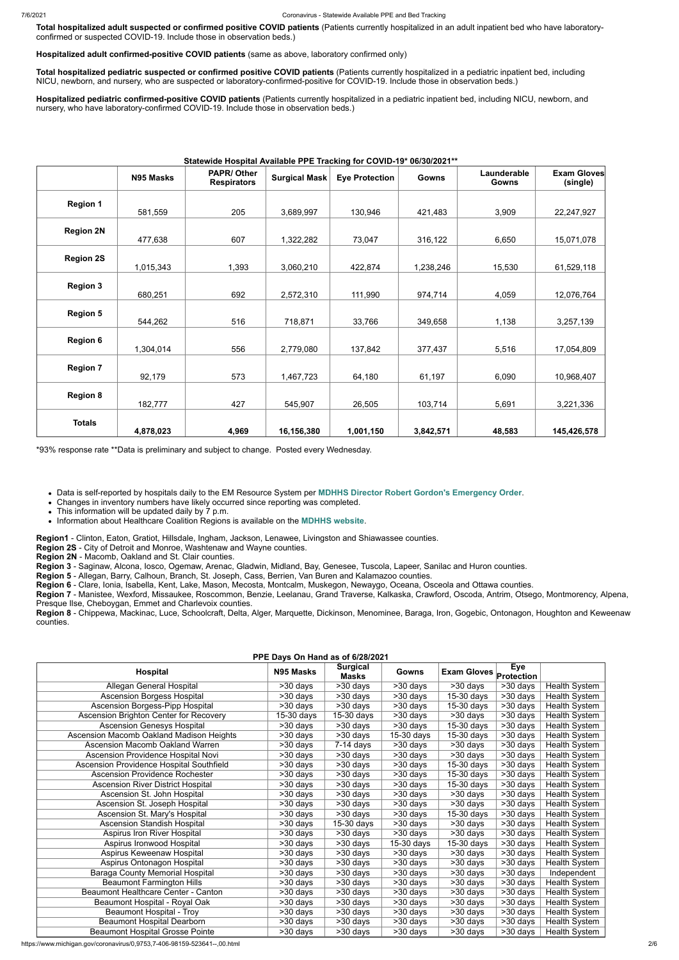**Total hospitalized adult suspected or confirmed positive COVID patients** (Patients currently hospitalized in an adult inpatient bed who have laboratoryconfirmed or suspected COVID-19. Include those in observation beds.)

**Hospitalized adult confirmed-positive COVID patients** (same as above, laboratory confirmed only)

**Total hospitalized pediatric suspected or confirmed positive COVID patients** (Patients currently hospitalized in a pediatric inpatient bed, including NICU, newborn, and nursery, who are suspected or laboratory-confirmed-positive for COVID-19. Include those in observation beds.)

**Hospitalized pediatric confirmed-positive COVID patients** (Patients currently hospitalized in a pediatric inpatient bed, including NICU, newborn, and nursery, who have laboratory-confirmed COVID-19. Include those in observation beds.)

#### **Statewide Hospital Available PPE Tracking for COVID-19\* 06/30/2021\*\***

|                  | N95 Masks | <b>PAPR/Other</b><br><b>Respirators</b> | <b>Surgical Mask</b> | <b>Eye Protection</b> | Gowns     | Launderable<br><b>Gowns</b> | <b>Exam Gloves</b><br>(single) |
|------------------|-----------|-----------------------------------------|----------------------|-----------------------|-----------|-----------------------------|--------------------------------|
|                  |           |                                         |                      |                       |           |                             |                                |
| <b>Region 1</b>  | 581,559   | 205                                     | 3,689,997            | 130,946               | 421,483   | 3,909                       | 22,247,927                     |
|                  |           |                                         |                      |                       |           |                             |                                |
| <b>Region 2N</b> | 477,638   | 607                                     | 1,322,282            | 73,047                | 316,122   | 6,650                       | 15,071,078                     |
|                  |           |                                         |                      |                       |           |                             |                                |
| <b>Region 2S</b> | 1,015,343 | 1,393                                   | 3,060,210            | 422,874               | 1,238,246 | 15,530                      | 61,529,118                     |
|                  |           |                                         |                      |                       |           |                             |                                |
| <b>Region 3</b>  | 680,251   | 692                                     | 2,572,310            | 111,990               | 974,714   | 4,059                       | 12,076,764                     |
|                  |           |                                         |                      |                       |           |                             |                                |
| <b>Region 5</b>  | 544,262   | 516                                     | 718,871              | 33,766                | 349,658   | 1,138                       | 3,257,139                      |
|                  |           |                                         |                      |                       |           |                             |                                |
| <b>Region 6</b>  | 1,304,014 | 556                                     | 2,779,080            | 137,842               | 377,437   | 5,516                       | 17,054,809                     |
|                  |           |                                         |                      |                       |           |                             |                                |
| <b>Region 7</b>  | 92,179    | 573                                     | 1,467,723            | 64,180                | 61,197    | 6,090                       | 10,968,407                     |
|                  |           |                                         |                      |                       |           |                             |                                |
| <b>Region 8</b>  | 182,777   | 427                                     | 545,907              | 26,505                | 103,714   | 5,691                       | 3,221,336                      |
|                  |           |                                         |                      |                       |           |                             |                                |
| <b>Totals</b>    | 4,878,023 | 4,969                                   | 16,156,380           | 1,001,150             | 3,842,571 | 48,583                      | 145,426,578                    |

\*93% response rate \*\*Data is preliminary and subject to change. Posted every Wednesday.

Data is self-reported by hospitals daily to the EM Resource System per **[MDHHS Director Robert Gordon's Emergency Order](https://www.michigan.gov/documents/coronavirus/MDHHS_epidemic_reporting_order_and_instructions_684709_7.pdf)**.

Changes in inventory numbers have likely occurred since reporting was completed.

• This information will be updated daily by 7 p.m.

Information about Healthcare Coalition Regions is available on the **[MDHHS website](https://www.michigan.gov/mdhhs/0,5885,7-339-71548_54783_54826_56171-237197--,00.html#hcc)**.

**Region1** - Clinton, Eaton, Gratiot, Hillsdale, Ingham, Jackson, Lenawee, Livingston and Shiawassee counties.

**Region 2S** - City of Detroit and Monroe, Washtenaw and Wayne counties.

**Region 2N** - Macomb, Oakland and St. Clair counties.

**Region 3** - Saginaw, Alcona, Iosco, Ogemaw, Arenac, Gladwin, Midland, Bay, Genesee, Tuscola, Lapeer, Sanilac and Huron counties.

**Region 5** - Allegan, Barry, Calhoun, Branch, St. Joseph, Cass, Berrien, Van Buren and Kalamazoo counties.

**Region 6** - Clare, Ionia, Isabella, Kent, Lake, Mason, Mecosta, Montcalm, Muskegon, Newaygo, Oceana, Osceola and Ottawa counties.

**Region 7** - Manistee, Wexford, Missaukee, Roscommon, Benzie, Leelanau, Grand Traverse, Kalkaska, Crawford, Oscoda, Antrim, Otsego, Montmorency, Alpena, Presque Ilse, Cheboygan, Emmet and Charlevoix counties.

**Region 8** - Chippewa, Mackinac, Luce, Schoolcraft, Delta, Alger, Marquette, Dickinson, Menominee, Baraga, Iron, Gogebic, Ontonagon, Houghton and Keweenaw counties.

| PPE Days On Hand as of 6/28/2021         |            |                                 |                       |                               |            |                      |  |  |
|------------------------------------------|------------|---------------------------------|-----------------------|-------------------------------|------------|----------------------|--|--|
| <b>Hospital</b>                          | N95 Masks  | <b>Surgical</b><br><b>Masks</b> | Gowns                 | <b>Exam Gloves</b> Protection | Eye        |                      |  |  |
| Allegan General Hospital                 | >30 days   | >30 days                        | >30 days              | >30 days                      | >30 days   | Health System        |  |  |
| Ascension Borgess Hospital               | >30 days   | >30 days                        | >30 days              | 15-30 days                    | >30 days   | Health System        |  |  |
| Ascension Borgess-Pipp Hospital          | $>30$ days | >30 days                        | >30 days              | 15-30 days                    | >30 days   | Health System        |  |  |
| Ascension Brighton Center for Recovery   | 15-30 days | 15-30 days                      | >30 days              | >30 days                      | >30 days   | Health System        |  |  |
| <b>Ascension Genesys Hospital</b>        | >30 days   | $\overline{>30}$ days           | >30 days              | $15-30$ days                  | >30 days   | Health System        |  |  |
| Ascension Macomb Oakland Madison Heights | >30 days   | >30 days                        | 15-30 days            | 15-30 days                    | >30 days   | Health System        |  |  |
| <b>Ascension Macomb Oakland Warren</b>   | >30 days   | 7-14 days                       | >30 days              | >30 days                      | $>30$ days | Health System        |  |  |
| Ascension Providence Hospital Novi       | >30 days   | >30 days                        | >30 days              | >30 days                      | >30 days   | <b>Health System</b> |  |  |
| Ascension Providence Hospital Southfield | >30 days   | >30 days                        | >30 days              | $15-30$ days                  | >30 days   | Health System        |  |  |
| <b>Ascension Providence Rochester</b>    | >30 days   | >30 days                        | >30 days              | 15-30 days                    | >30 days   | <b>Health System</b> |  |  |
| <b>Ascension River District Hospital</b> | >30 days   | >30 days                        | >30 days              | 15-30 days                    | >30 days   | Health System        |  |  |
| Ascension St. John Hospital              | >30 days   | >30 days                        | $>30$ days            | >30 days                      | >30 days   | Health System        |  |  |
| Ascension St. Joseph Hospital            | >30 days   | >30 days                        | $>30$ days            | >30 days                      | $>30$ days | Health System        |  |  |
| Ascension St. Mary's Hospital            | >30 days   | >30 days                        | >30 days              | 15-30 days                    | >30 days   | Health System        |  |  |
| <b>Ascension Standish Hospital</b>       | >30 days   | 15-30 days                      | >30 days              | >30 days                      | >30 days   | Health System        |  |  |
| Aspirus Iron River Hospital              | >30 days   | >30 days                        | >30 days              | >30 days                      | >30 days   | Health System        |  |  |
| Aspirus Ironwood Hospital                | >30 days   | >30 days                        | 15-30 days            | 15-30 days                    | >30 days   | Health System        |  |  |
| Aspirus Keweenaw Hospital                | >30 days   | >30 days                        | >30 days              | >30 days                      | >30 days   | Health System        |  |  |
| Aspirus Ontonagon Hospital               | >30 days   | >30 days                        | >30 days              | >30 days                      | >30 days   | <b>Health System</b> |  |  |
| Baraga County Memorial Hospital          | >30 days   | >30 days                        | >30 days              | >30 days                      | >30 days   | Independent          |  |  |
| <b>Beaumont Farmington Hills</b>         | >30 days   | >30 days                        | >30 days              | >30 days                      | >30 days   | Health System        |  |  |
| Beaumont Healthcare Center - Canton      | $>30$ days | $>30$ days                      | $\overline{>30}$ days | >30 days                      | $>30$ days | Health System        |  |  |
| Beaumont Hospital - Royal Oak            | >30 days   | >30 days                        | >30 days              | >30 days                      | >30 days   | <b>Health System</b> |  |  |
| Beaumont Hospital - Troy                 | >30 days   | >30 days                        | $>30$ days            | >30 days                      | >30 days   | Health System        |  |  |
| <b>Beaumont Hospital Dearborn</b>        | >30 days   | >30 days                        | >30 days              | >30 days                      | >30 days   | Health System        |  |  |
| <b>Beaumont Hospital Grosse Pointe</b>   | >30 days   | $>30$ days                      | >30 days              | >30 days                      | >30 days   | Health System        |  |  |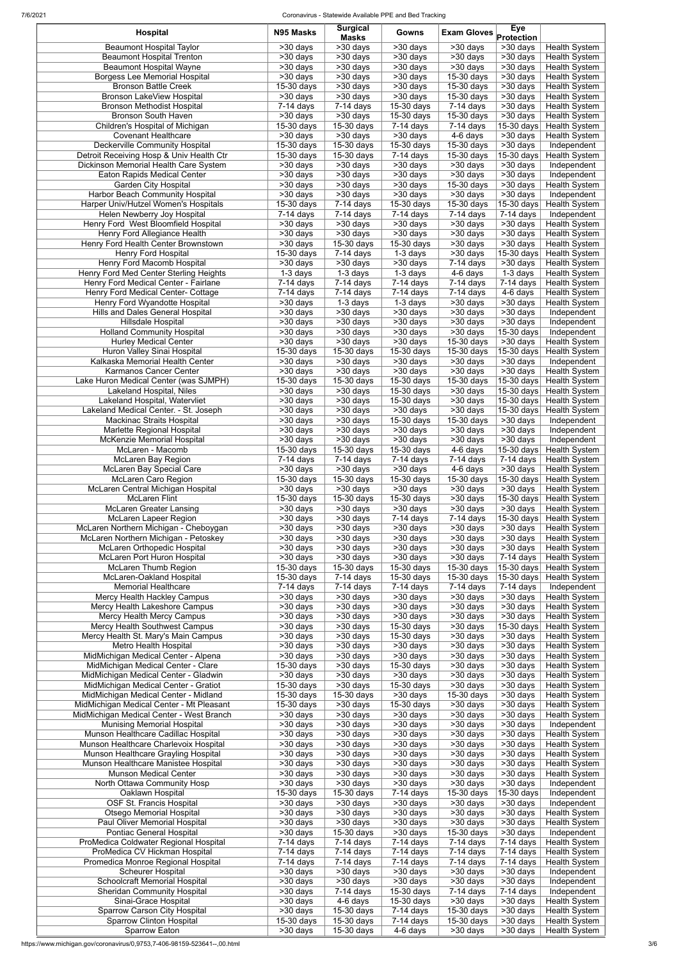7/6/2021 Coronavirus - Statewide Available PPE and Bed Tracking

| Hospital                                                                         | N95 Masks                                    | <b>Surgical</b><br><b>Masks</b>                | Gowns                                  | <b>Exam Gloves</b>                               | Eye<br>Protection                                |                                              |
|----------------------------------------------------------------------------------|----------------------------------------------|------------------------------------------------|----------------------------------------|--------------------------------------------------|--------------------------------------------------|----------------------------------------------|
| <b>Beaumont Hospital Taylor</b>                                                  | >30 days                                     | >30 days                                       | $>30$ days                             | >30 days                                         | >30 days                                         | <b>Health System</b>                         |
| <b>Beaumont Hospital Trenton</b>                                                 | $>30$ days                                   | >30 days                                       | $>30$ days                             | $>30$ days                                       | $>30$ days                                       | <b>Health System</b>                         |
| <b>Beaumont Hospital Wayne</b>                                                   | >30 days                                     | >30 days                                       | $>30$ days                             | $>30$ days                                       | $>30$ days                                       | Health System                                |
| <b>Borgess Lee Memorial Hospital</b><br><b>Bronson Battle Creek</b>              | >30 days<br>15-30 days                       | >30 days<br>>30 days                           | >30 days<br>$>30$ days                 | 15-30 days<br>15-30 days                         | $>30$ days<br>>30 days                           | <b>Health System</b><br><b>Health System</b> |
| Bronson LakeView Hospital                                                        | $\overline{>}30$ days                        | >30 days                                       | $>30$ days                             | 15-30 days                                       | $\overline{\phantom{1}}$ > 30 days               | <b>Health System</b>                         |
| <b>Bronson Methodist Hospital</b>                                                | $7-14$ days                                  | $7-14$ days                                    | 15-30 days                             | $7-14$ days                                      | >30 days                                         | <b>Health System</b>                         |
| <b>Bronson South Haven</b>                                                       | >30 days                                     | >30 days                                       | 15-30 days                             | 15-30 days                                       | $\overline{\phantom{1}}$ > 30 days               | <b>Health System</b>                         |
| Children's Hospital of Michigan<br><b>Covenant Healthcare</b>                    | 15-30 days<br>>30 days                       | 15-30 days<br>>30 days                         | $7-14$ days<br>>30 days                | 7-14 days<br>4-6 days                            | 15-30 days<br>>30 days                           | <b>Health System</b><br><b>Health System</b> |
| <b>Deckerville Community Hospital</b>                                            | 15-30 days                                   | 15-30 days                                     | 15-30 days                             | 15-30 days                                       | >30 days                                         | Independent                                  |
| Detroit Receiving Hosp & Univ Health Ctr                                         | 15-30 days                                   | 15-30 days                                     | 7-14 days                              | 15-30 days                                       | 15-30 days                                       | <b>Health System</b>                         |
| Dickinson Memorial Health Care System                                            | >30 days                                     | >30 days                                       | >30 days                               | >30 days                                         | >30 days                                         | Independent                                  |
| Eaton Rapids Medical Center<br><b>Garden City Hospital</b>                       | $\overline{>30}$ days<br>>30 days            | >30 days<br>>30 days                           | $\overline{>}30$ days<br>>30 days      | >30 days<br>15-30 days                           | $\overline{>30}$ days<br>$>30$ days              | Independent<br><b>Health System</b>          |
| <b>Harbor Beach Community Hospital</b>                                           | $>30$ days                                   | >30 days                                       | $\overline{>}30$ days                  | >30 days                                         | >30 days                                         | Independent                                  |
| Harper Univ/Hutzel Women's Hospitals                                             | 15-30 days                                   | $7-14$ days                                    | 15-30 days                             | 15-30 days                                       | 15-30 days                                       | <b>Health System</b>                         |
| Helen Newberry Joy Hospital                                                      | $7-14$ days                                  | $7-14$ days                                    | $\overline{7}$ -14 days                | $\overline{7}$ -14 days                          | $7-14$ days                                      | Independent                                  |
| Henry Ford West Bloomfield Hospital<br>Henry Ford Allegiance Health              | >30 days<br>>30 days                         | >30 days<br>>30 days                           | >30 days                               | >30 days<br>>30 days                             | >30 days                                         | <b>Health System</b>                         |
| Henry Ford Health Center Brownstown                                              | >30 days                                     | 15-30 days                                     | >30 days<br>15-30 days                 | >30 days                                         | >30 days<br>$\overline{\phantom{1}}$ > 30 days   | <b>Health System</b><br><b>Health System</b> |
| Henry Ford Hospital                                                              | 15-30 days                                   | $7-14$ days                                    | $1-3$ days                             | >30 days                                         | 15-30 days                                       | <b>Health System</b>                         |
| Henry Ford Macomb Hospital                                                       | $\overline{\phantom{1}}$ > 30 days           | >30 days                                       | $>30$ days                             | 7-14 days                                        | $\overline{\phantom{1}}$ > 30 days               | <b>Health System</b>                         |
| Henry Ford Med Center Sterling Heights                                           | 1-3 days                                     | 1-3 days                                       | 1-3 days                               | 4-6 days                                         | 1-3 days                                         | <b>Health System</b>                         |
| Henry Ford Medical Center - Fairlane<br>Henry Ford Medical Center- Cottage       | $7-14$ days<br>$7-14$ days                   | $7-14$ days<br>$7-14$ days                     | $\overline{7}$ -14 days<br>$7-14$ days | 7-14 days<br>7-14 days                           | $7-14$ days<br>4-6 days                          | <b>Health System</b><br><b>Health System</b> |
| Henry Ford Wyandotte Hospital                                                    | >30 days                                     | 1-3 days                                       | 1-3 days                               | >30 days                                         | $>30$ days                                       | Health System                                |
| Hills and Dales General Hospital                                                 | $>30$ days                                   | >30 days                                       | $>30$ days                             | >30 days                                         | $>30$ days                                       | Independent                                  |
| Hillsdale Hospital                                                               | $>30$ days                                   | >30 days                                       | $>30$ days                             | $>30$ days                                       | >30 days                                         | Independent                                  |
| <b>Holland Community Hospital</b><br><b>Hurley Medical Center</b>                | >30 days<br>$\overline{>30}$ days            | >30 days<br>$\overline{>30}$ days              | $>30$ days<br>$\overline{>30}$ days    | >30 days<br>15-30 days                           | 15-30 days<br>>30 days                           | Independent<br><b>Health System</b>          |
| <b>Huron Valley Sinai Hospital</b>                                               | $15-30$ days                                 | 15-30 days                                     | 15-30 days                             | 15-30 days                                       | $\overline{15}$ -30 days                         | <b>Health System</b>                         |
| Kalkaska Memorial Health Center                                                  | >30 days                                     | >30 days                                       | $\overline{>30}$ days                  | $\overline{>30}$ days                            | >30 days                                         | Independent                                  |
| Karmanos Cancer Center                                                           | $\overline{>30}$ days                        | >30 days                                       | $>30$ days                             | >30 days                                         | >30 days                                         | <b>Health System</b>                         |
| Lake Huron Medical Center (was SJMPH)                                            | 15-30 days                                   | 15-30 days                                     | 15-30 days                             | 15-30 days                                       |                                                  | 15-30 days Health System                     |
| Lakeland Hospital, Niles<br>Lakeland Hospital, Watervliet                        | >30 days<br>>30 days                         | >30 days<br>>30 days                           | 15-30 days<br>15-30 days               | >30 days<br>>30 days                             | 15-30 days<br>15-30 days                         | <b>Health System</b><br><b>Health System</b> |
| Lakeland Medical Center. - St. Joseph                                            | >30 days                                     | >30 days                                       | $>30$ days                             | >30 days                                         | 15-30 days                                       | <b>Health System</b>                         |
| Mackinac Straits Hospital                                                        | >30 days                                     | $>30$ days                                     | 15-30 days                             | 15-30 days                                       | $>30$ days                                       | Independent                                  |
| Marlette Regional Hospital                                                       | $>30$ days                                   | >30 days                                       | $>30$ days                             | >30 days                                         | $\overline{\phantom{1}}$ > 30 days               | Independent                                  |
| McKenzie Memorial Hospital<br>McLaren - Macomb                                   | $>30$ days<br>15-30 days                     | >30 days<br>15-30 days                         | $>30$ days<br>15-30 days               | >30 days<br>4-6 days                             | >30 days<br>15-30 days                           | Independent<br><b>Health System</b>          |
| <b>McLaren Bay Region</b>                                                        | $7-14$ days                                  | 7-14 days                                      | $7-14$ days                            | 7-14 days                                        | $7-14$ days                                      | <b>Health System</b>                         |
| McLaren Bay Special Care                                                         | >30 days                                     | >30 days                                       | >30 days                               | 4-6 days                                         | >30 days                                         | <b>Health System</b>                         |
| <b>McLaren Caro Region</b>                                                       | 15-30 days                                   | 15-30 days                                     | 15-30 days                             | 15-30 days                                       | 15-30 days                                       | <b>Health System</b>                         |
| McLaren Central Michigan Hospital<br><b>McLaren Flint</b>                        | >30 days<br>15-30 days                       | >30 days<br>15-30 days                         | >30 days<br>15-30 days                 | >30 days<br>>30 days                             | >30 days<br>15-30 days                           | <b>Health System</b>                         |
| <b>McLaren Greater Lansing</b>                                                   | >30 days                                     | >30 days                                       | >30 days                               | >30 days                                         | >30 days                                         | <b>Health System</b><br>Health System        |
| <b>McLaren Lapeer Region</b>                                                     | >30 days                                     | >30 days                                       | 7-14 days                              | $7-14$ days                                      | 15-30 days                                       | <b>Health System</b>                         |
| McLaren Northern Michigan - Cheboygan                                            | >30 days                                     | >30 days                                       | >30 days                               | >30 days                                         | >30 days                                         | <b>Health System</b>                         |
| McLaren Northern Michigan - Petoskey                                             | >30 days<br>$\overline{>}30$ days            | >30 days                                       | >30 days<br>$\overline{>}30$ days      | >30 days                                         | >30 days<br>$\overline{>30}$ days                | <b>Health System</b>                         |
| McLaren Orthopedic Hospital<br>McLaren Port Huron Hospital                       | >30 days                                     | >30 days<br>>30 days                           | >30 days                               | $>30$ days<br>>30 days                           | $7-14$ days                                      | Health System<br><b>Health System</b>        |
| <b>McLaren Thumb Region</b>                                                      | $15-30$ days                                 | 15-30 days                                     | 15-30 days                             | 15-30 days                                       | 15-30 days                                       | <b>Health System</b>                         |
| McLaren-Oakland Hospital                                                         | $\overline{1}5-30$ days                      | $7-14$ days                                    | 15-30 days                             | 15-30 days                                       | 15-30 days                                       | <b>Health System</b>                         |
| <b>Memorial Healthcare</b>                                                       | $7-14$ days                                  | $7-14$ days                                    | $\overline{7}$ -14 days                | $7-14$ days                                      | $7-14$ days                                      | Independent                                  |
| Mercy Health Hackley Campus<br>Mercy Health Lakeshore Campus                     | $>30$ days<br>$\overline{>30}$ days          | >30 days<br>>30 days                           | >30 days<br>$\overline{>}30$ days      | >30 days<br>$>30$ days                           | $>30$ days<br>>30 days                           | <b>Health System</b><br><b>Health System</b> |
| Mercy Health Mercy Campus                                                        | >30 days                                     | >30 days                                       | $>30$ days                             | >30 days                                         | >30 days                                         | <b>Health System</b>                         |
| Mercy Health Southwest Campus                                                    | >30 days                                     | >30 days                                       | 15-30 days                             | >30 days                                         | 15-30 days                                       | <b>Health System</b>                         |
| Mercy Health St. Mary's Main Campus                                              | >30 days                                     | >30 days                                       | 15-30 days                             | >30 days                                         | >30 days                                         | Health System                                |
| Metro Health Hospital<br>MidMichigan Medical Center - Alpena                     | >30 days<br>$>30$ days                       | >30 days<br>>30 days                           | $>30$ days<br>$>30$ days               | >30 days<br>>30 days                             | >30 days<br>$>30$ days                           | <b>Health System</b><br><b>Health System</b> |
| MidMichigan Medical Center - Clare                                               | 15-30 days                                   | >30 days                                       | 15-30 days                             | >30 days                                         | >30 days                                         | <b>Health System</b>                         |
| MidMichigan Medical Center - Gladwin                                             | $>30$ days                                   | >30 days                                       | $>30$ days                             | >30 days                                         | $\overline{\phantom{1}}$ > 30 days               | <b>Health System</b>                         |
| MidMichigan Medical Center - Gratiot                                             | 15-30 days                                   | >30 days                                       | 15-30 days                             | >30 days                                         | >30 days                                         | <b>Health System</b>                         |
| MidMichigan Medical Center - Midland<br>MidMichigan Medical Center - Mt Pleasant | 15-30 days<br>15-30 days                     | 15-30 days<br>>30 days                         | $>30$ days<br>15-30 days               | 15-30 days<br>>30 days                           | $\overline{\phantom{1}}$ > 30 days<br>$>30$ days | <b>Health System</b><br>Health System        |
| MidMichigan Medical Center - West Branch                                         | >30 days                                     | >30 days                                       | >30 days                               | >30 days                                         | >30 days                                         | <b>Health System</b>                         |
| <b>Munising Memorial Hospital</b>                                                | >30 days                                     | >30 days                                       | >30 days                               | >30 days                                         | >30 days                                         | Independent                                  |
| Munson Healthcare Cadillac Hospital                                              | >30 days                                     | >30 days                                       | >30 days                               | >30 days                                         | >30 days                                         | <b>Health System</b>                         |
| Munson Healthcare Charlevoix Hospital<br>Munson Healthcare Grayling Hospital     | $\overline{\smash{\sim}30}$ days<br>>30 days | $\overline{\phantom{1}}$ > 30 days<br>>30 days | $>30$ days<br>>30 days                 | $>30$ days<br>$>30$ days                         | $\overline{\phantom{1}}$ >30 days<br>$>30$ days  | <b>Health System</b><br><b>Health System</b> |
| Munson Healthcare Manistee Hospital                                              | $>30$ days                                   | $>30$ days                                     | >30 days                               | $>30$ days                                       | >30 days                                         | <b>Health System</b>                         |
| <b>Munson Medical Center</b>                                                     | $\overline{>30}$ days                        | >30 days                                       | $\overline{>30}$ days                  | >30 days                                         | $>30$ days                                       | <b>Health System</b>                         |
| North Ottawa Community Hosp                                                      | >30 days                                     | >30 days                                       | $\overline{\phantom{1}}$ > 30 days     | >30 days                                         | $\overline{>30}$ days                            | Independent                                  |
| Oaklawn Hospital<br><b>OSF St. Francis Hospital</b>                              | 15-30 days                                   | 15-30 days                                     | $7-14$ days                            | $15-30$ days                                     | 15-30 days                                       | Independent                                  |
| <b>Otsego Memorial Hospital</b>                                                  | >30 days<br>>30 days                         | >30 days<br>>30 days                           | >30 days<br>>30 days                   | >30 days<br>>30 days                             | >30 days<br>>30 days                             | Independent<br><b>Health System</b>          |
| Paul Oliver Memorial Hospital                                                    | >30 days                                     | >30 days                                       | >30 days                               | >30 days                                         | >30 days                                         | <b>Health System</b>                         |
| Pontiac General Hospital                                                         | >30 days                                     | 15-30 days                                     | >30 days                               | 15-30 days                                       | >30 days                                         | Independent                                  |
| ProMedica Coldwater Regional Hospital                                            | $7-14$ days                                  | 7-14 days                                      | 7-14 days                              | 7-14 days                                        | $7-14$ days                                      | Health System                                |
| ProMedica CV Hickman Hospital<br>Promedica Monroe Regional Hospital              | 7-14 days<br>$7-14$ days                     | 7-14 days<br>$7-14$ days                       | 7-14 days<br>$7-14$ days               | 7-14 days<br>7-14 days                           | 7-14 days<br>$7-14$ days                         | <b>Health System</b><br><b>Health System</b> |
| <b>Scheurer Hospital</b>                                                         | $>30$ days                                   | >30 days                                       | >30 days                               | >30 days                                         | >30 days                                         | Independent                                  |
| <b>Schoolcraft Memorial Hospital</b>                                             | >30 days                                     | >30 days                                       | >30 days                               | >30 days                                         | $>30$ days                                       | Independent                                  |
| <b>Sheridan Community Hospital</b>                                               | $>30$ days                                   | $7-14$ days                                    | 15-30 days                             | 7-14 days                                        | $7-14$ days                                      | Independent                                  |
| Sinai-Grace Hospital<br><b>Sparrow Carson City Hospital</b>                      | $>30$ days<br>>30 days                       | 4-6 days<br>15-30 days                         | 15-30 days<br>$7-14$ days              | $\overline{\phantom{1}}$ > 30 days<br>15-30 days | $>30$ days<br>$\overline{\phantom{1}}$ > 30 days | <b>Health System</b><br><b>Health System</b> |
| <b>Sparrow Clinton Hospital</b>                                                  | 15-30 days                                   | 15-30 days                                     | $7-14$ days                            | 15-30 days                                       | >30 days                                         | <b>Health System</b>                         |
| Sparrow Eaton                                                                    | >30 days                                     | 15-30 days                                     | 4-6 days                               | >30 days                                         | >30 days                                         | <b>Health System</b>                         |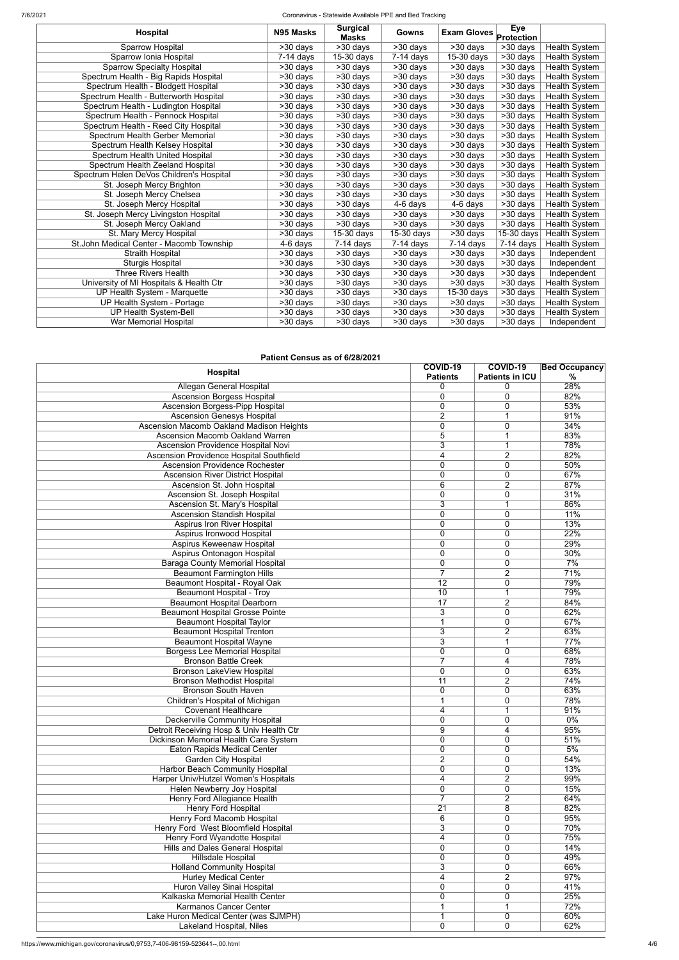7/6/2021 Coronavirus - Statewide Available PPE and Bed Tracking

| <b>Hospital</b>                          | N95 Masks               | <b>Surgical</b><br><b>Masks</b> | Gowns                 | <b>Exam Gloves</b>    | <b>Eye</b><br>Protection |                      |
|------------------------------------------|-------------------------|---------------------------------|-----------------------|-----------------------|--------------------------|----------------------|
| Sparrow Hospital                         | >30 days                | $>30$ days                      | >30 days              | >30 days              | $\overline{>30}$ days    | <b>Health System</b> |
| Sparrow Ionia Hospital                   | $\overline{7}$ -14 days | $15-30$ days                    | $7-14$ days           | 15-30 days            | $>30$ days               | Health System        |
| <b>Sparrow Specialty Hospital</b>        | >30 days                | >30 days                        | >30 days              | >30 days              | $\overline{>30}$ days    | Health System        |
| Spectrum Health - Big Rapids Hospital    | >30 days                | >30 days                        | $\overline{>30}$ days | >30 days              | $\overline{>30}$ days    | Health System        |
| Spectrum Health - Blodgett Hospital      | >30 days                | >30 days                        | $>30$ days            | >30 days              | $>30$ days               | <b>Health System</b> |
| Spectrum Health - Butterworth Hospital   | >30 days                | >30 days                        | $>30$ days            | >30 days              | >30 days                 | <b>Health System</b> |
| Spectrum Health - Ludington Hospital     | >30 days                | >30 days                        | $>30$ days            | >30 days              | $>30$ days               | Health System        |
| Spectrum Health - Pennock Hospital       | >30 days                | >30 days                        | $>30$ days            | >30 days              | >30 days                 | <b>Health System</b> |
| Spectrum Health - Reed City Hospital     | >30 days                | >30 days                        | $>30$ days            | >30 days              | $>30$ days               | <b>Health System</b> |
| Spectrum Health Gerber Memorial          | >30 days                | >30 days                        | $>30$ days            | >30 days              | $>30$ days               | <b>Health System</b> |
| Spectrum Health Kelsey Hospital          | >30 days                | >30 days                        | $>30$ days            | >30 days              | $>30$ days               | <b>Health System</b> |
| Spectrum Health United Hospital          | $\overline{>30}$ days   | >30 days                        | >30 days              | >30 days              | $>30$ days               | Health System        |
| Spectrum Health Zeeland Hospital         | >30 days                | >30 days                        | $>30$ days            | >30 days              | $>30$ days               | Health System        |
| Spectrum Helen DeVos Children's Hospital | $\overline{>}30$ days   | >30 days                        | >30 days              | >30 days              | $>30$ days               | Health System        |
| St. Joseph Mercy Brighton                | >30 days                | >30 days                        | $>30$ days            | >30 days              | >30 days                 | <b>Health System</b> |
| St. Joseph Mercy Chelsea                 | >30 days                | >30 days                        | $\overline{>30}$ days | >30 days              | >30 days                 | <b>Health System</b> |
| St. Joseph Mercy Hospital                | $>30$ days              | >30 days                        | 4-6 days              | 4-6 days              | >30 days                 | Health System        |
| St. Joseph Mercy Livingston Hospital     | $>30$ days              | >30 days                        | $\overline{>30}$ days | $\overline{>30}$ days | $\overline{>30}$ days    | Health System        |
| St. Joseph Mercy Oakland                 | >30 days                | >30 days                        | $>30$ days            | >30 days              | >30 days                 | Health System        |
| St. Mary Mercy Hospital                  | >30 days                | 15-30 days                      | $15-30$ days          | >30 days              | 15-30 days               | Health System        |
| St.John Medical Center - Macomb Township | 4-6 days                | $7-14$ days                     | $7-14$ days           | $7-14$ days           | 7-14 days                | <b>Health System</b> |
| <b>Straith Hospital</b>                  | $>30$ days              | $>30$ days                      | $>30$ days            | >30 days              | $>30$ days               | Independent          |
| <b>Sturgis Hospital</b>                  | $>30$ days              | >30 days                        | $>30$ days            | >30 days              | $>30$ days               | Independent          |
| Three Rivers Health                      | >30 days                | >30 days                        | >30 days              | >30 days              | >30 days                 | Independent          |
| University of MI Hospitals & Health Ctr  | >30 days                | >30 days                        | $>30$ days            | >30 days              | >30 days                 | Health System        |
| UP Health System - Marquette             | >30 days                | >30 days                        | $>30$ days            | 15-30 days            | $>30$ days               | Health System        |
| UP Health System - Portage               | >30 days                | >30 days                        | $>30$ days            | $>30$ days            | $>30$ days               | <b>Health System</b> |
| <b>UP Health System-Bell</b>             | >30 days                | >30 days                        | $>30$ days            | >30 days              | >30 days                 | Health System        |
| War Memorial Hospital                    | >30 days                | >30 days                        | $>30$ days            | >30 days              | >30 days                 | Independent          |

### **Patient Census as of 6/28/2021**

| Hospital                                 | COVID-19<br><b>Patients</b> | COVID-19<br><b>Patients in ICU</b> | <b>Bed Occupancy</b><br>$\frac{0}{0}$ |
|------------------------------------------|-----------------------------|------------------------------------|---------------------------------------|
| Allegan General Hospital                 | 0                           | 0                                  | 28%                                   |
| <b>Ascension Borgess Hospital</b>        | 0                           | 0                                  | 82%                                   |
| <b>Ascension Borgess-Pipp Hospital</b>   | 0                           | 0                                  | 53%                                   |
| <b>Ascension Genesys Hospital</b>        | $\overline{2}$              | 1                                  | 91%                                   |
| Ascension Macomb Oakland Madison Heights | $\mathbf 0$                 | 0                                  | 34%                                   |
| Ascension Macomb Oakland Warren          | 5                           |                                    | 83%                                   |
| Ascension Providence Hospital Novi       | 3                           | 1                                  | 78%                                   |
| Ascension Providence Hospital Southfield | 4                           | $\overline{2}$                     | 82%                                   |
| <b>Ascension Providence Rochester</b>    | 0                           | 0                                  | 50%                                   |
| <b>Ascension River District Hospital</b> | 0                           | 0                                  | 67%                                   |
| Ascension St. John Hospital              | 6                           | $\overline{2}$                     | 87%                                   |
| Ascension St. Joseph Hospital            | 0                           | 0                                  | 31%                                   |
| Ascension St. Mary's Hospital            | 3                           | 1                                  | 86%                                   |
| <b>Ascension Standish Hospital</b>       | 0                           | 0                                  | 11%                                   |
| Aspirus Iron River Hospital              | $\mathbf 0$                 | 0                                  | 13%                                   |
| Aspirus Ironwood Hospital                | $\mathbf 0$                 | 0                                  | 22%                                   |
| Aspirus Keweenaw Hospital                | 0                           | 0                                  | 29%                                   |
|                                          | 0                           | 0                                  | 30%                                   |
| Aspirus Ontonagon Hospital               |                             |                                    |                                       |
| <b>Baraga County Memorial Hospital</b>   | 0<br>7                      | 0                                  | 7%                                    |
| <b>Beaumont Farmington Hills</b>         |                             | $\overline{2}$                     | 71%                                   |
| Beaumont Hospital - Royal Oak            | $\overline{12}$             | $\mathbf 0$                        | 79%                                   |
| <b>Beaumont Hospital - Troy</b>          | 10                          | 1                                  | 79%                                   |
| <b>Beaumont Hospital Dearborn</b>        | 17                          | $\overline{2}$                     | 84%                                   |
| <b>Beaumont Hospital Grosse Pointe</b>   | 3                           | $\mathbf 0$                        | 62%                                   |
| <b>Beaumont Hospital Taylor</b>          |                             | 0                                  | 67%                                   |
| <b>Beaumont Hospital Trenton</b>         | 3                           | $\overline{2}$                     | 63%                                   |
| <b>Beaumont Hospital Wayne</b>           | 3                           | 1                                  | 77%                                   |
| <b>Borgess Lee Memorial Hospital</b>     | 0                           | 0                                  | 68%                                   |
| <b>Bronson Battle Creek</b>              |                             | 4                                  | 78%                                   |
| Bronson LakeView Hospital                | 0                           | 0                                  | 63%                                   |
| <b>Bronson Methodist Hospital</b>        | $\overline{11}$             | $\overline{2}$                     | 74%                                   |
| <b>Bronson South Haven</b>               | $\mathbf 0$                 | 0                                  | 63%                                   |
| Children's Hospital of Michigan          | 1                           | 0                                  | 78%                                   |
| <b>Covenant Healthcare</b>               | 4                           | 1                                  | 91%                                   |
| <b>Deckerville Community Hospital</b>    | 0                           | 0                                  | $0\%$                                 |
| Detroit Receiving Hosp & Univ Health Ctr | 9                           | 4                                  | 95%                                   |
| Dickinson Memorial Health Care System    | 0                           | 0                                  | 51%                                   |
| <b>Eaton Rapids Medical Center</b>       | 0                           | 0                                  | 5%                                    |
| <b>Garden City Hospital</b>              | $\overline{2}$              | 0                                  | 54%                                   |
| Harbor Beach Community Hospital          | 0                           | 0                                  | 13%                                   |
| Harper Univ/Hutzel Women's Hospitals     | 4                           | $\overline{2}$                     | 99%                                   |
| Helen Newberry Joy Hospital              | 0                           | $\mathbf 0$                        | 15%                                   |
| Henry Ford Allegiance Health             | $\overline{7}$              | $\overline{2}$                     | 64%                                   |
| Henry Ford Hospital                      | $\overline{21}$             | 8                                  | 82%                                   |
| <b>Henry Ford Macomb Hospital</b>        | 6                           | 0                                  | 95%                                   |
| Henry Ford West Bloomfield Hospital      | 3                           | 0                                  | 70%                                   |
|                                          |                             |                                    | 75%                                   |
| Henry Ford Wyandotte Hospital            | 4                           | 0                                  |                                       |
| <b>Hills and Dales General Hospital</b>  | 0                           | 0                                  | 14%                                   |
| <b>Hillsdale Hospital</b>                | 0                           | 0                                  | 49%                                   |
| <b>Holland Community Hospital</b>        | $\overline{3}$              | 0                                  | 66%                                   |
| <b>Hurley Medical Center</b>             | 4                           | $\overline{2}$                     | 97%                                   |
| Huron Valley Sinai Hospital              | 0                           | 0                                  | 41%                                   |
| Kalkaska Memorial Health Center          | 0                           | 0                                  | 25%                                   |
| <b>Karmanos Cancer Center</b>            |                             |                                    | 72%                                   |
| Lake Huron Medical Center (was SJMPH)    | 1                           | 0                                  | 60%                                   |
| Lakeland Hospital, Niles                 | 0                           | 0                                  | 62%                                   |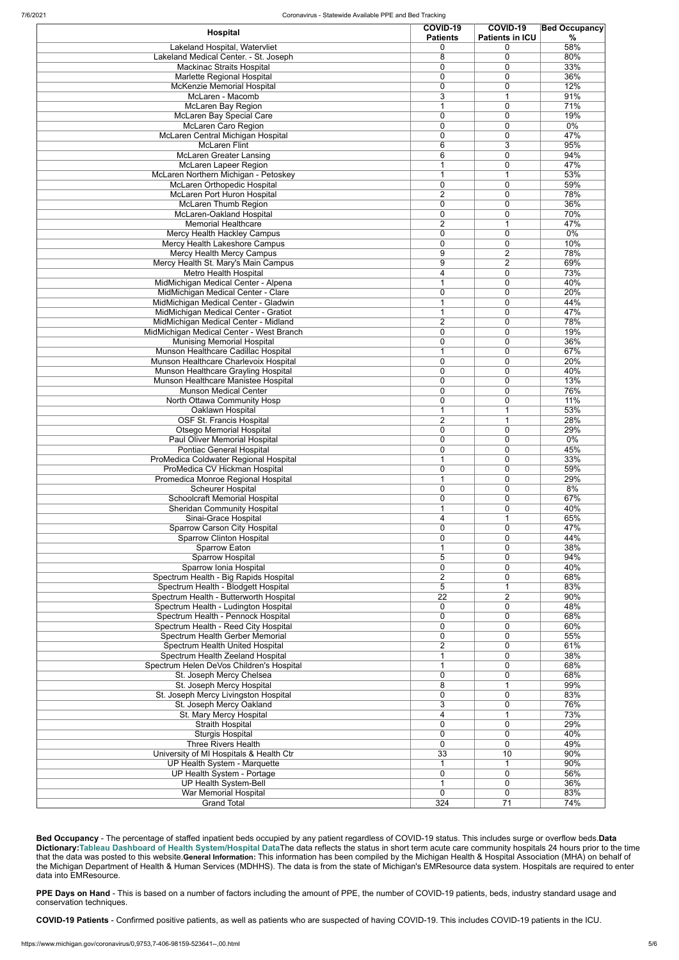| Hospital                                                                     | COVID-19<br><b>Patients</b>    | COVID-19<br><b>Patients in ICU</b> | <b>Bed Occupancy</b><br>% |
|------------------------------------------------------------------------------|--------------------------------|------------------------------------|---------------------------|
| Lakeland Hospital, Watervliet                                                | 0                              | 0                                  | 58%                       |
| Lakeland Medical Center. - St. Joseph                                        | 8                              | 0                                  | 80%                       |
| <b>Mackinac Straits Hospital</b>                                             | $\mathbf 0$                    | $\mathbf 0$                        | 33%                       |
| Marlette Regional Hospital                                                   | 0                              | $\mathbf 0$                        | 36%                       |
| McKenzie Memorial Hospital                                                   | 0                              | $\mathbf 0$                        | 12%                       |
| McLaren - Macomb                                                             | 3                              |                                    | 91%                       |
| <b>McLaren Bay Region</b>                                                    |                                | $\mathbf 0$                        | 71%                       |
| McLaren Bay Special Care<br><b>McLaren Caro Region</b>                       | 0<br>0                         | $\mathbf 0$<br>$\mathbf 0$         | 19%<br>0%                 |
| McLaren Central Michigan Hospital                                            | $\mathbf 0$                    | 0                                  | 47%                       |
| <b>McLaren Flint</b>                                                         | 6                              | 3                                  | 95%                       |
| <b>McLaren Greater Lansing</b>                                               | $\overline{6}$                 | $\mathbf 0$                        | 94%                       |
| McLaren Lapeer Region                                                        |                                | 0                                  | 47%                       |
| McLaren Northern Michigan - Petoskey                                         | 1                              | 1                                  | 53%                       |
| <b>McLaren Orthopedic Hospital</b>                                           | $\mathbf 0$                    | $\mathbf 0$                        | 59%                       |
| <b>McLaren Port Huron Hospital</b>                                           | $\overline{2}$                 | $\mathbf 0$                        | 78%                       |
| <b>McLaren Thumb Region</b>                                                  | $\mathbf 0$                    | $\mathbf 0$                        | 36%                       |
| <b>McLaren-Oakland Hospital</b>                                              | 0                              | $\mathbf 0$                        | 70%                       |
| <b>Memorial Healthcare</b>                                                   | $\overline{2}$                 | 1                                  | 47%                       |
| Mercy Health Hackley Campus                                                  | $\mathbf{0}$                   | 0                                  | 0%                        |
| Mercy Health Lakeshore Campus                                                | 0                              | 0                                  | 10%                       |
| Mercy Health Mercy Campus                                                    | 9                              | $\overline{2}$                     | 78%                       |
| Mercy Health St. Mary's Main Campus                                          | 9                              | $\overline{2}$                     | 69%                       |
| Metro Health Hospital                                                        | 4                              | $\mathbf 0$                        | 73%                       |
| MidMichigan Medical Center - Alpena<br>MidMichigan Medical Center - Clare    | 0                              | $\mathbf 0$<br>$\mathbf 0$         | 40%<br>20%                |
| MidMichigan Medical Center - Gladwin                                         | 1                              | $\mathbf 0$                        | 44%                       |
| MidMichigan Medical Center - Gratiot                                         | 1                              | $\mathbf 0$                        | 47%                       |
| MidMichigan Medical Center - Midland                                         | $\overline{2}$                 | 0                                  | 78%                       |
| MidMichigan Medical Center - West Branch                                     | 0                              | $\mathbf 0$                        | 19%                       |
| <b>Munising Memorial Hospital</b>                                            | 0                              | 0                                  | 36%                       |
| Munson Healthcare Cadillac Hospital                                          | 1                              | $\mathbf 0$                        | 67%                       |
| Munson Healthcare Charlevoix Hospital                                        | $\mathbf 0$                    | $\mathbf 0$                        | 20%                       |
| Munson Healthcare Grayling Hospital                                          | $\mathbf 0$                    | $\mathbf 0$                        | 40%                       |
| Munson Healthcare Manistee Hospital                                          | $\mathbf 0$                    | $\mathbf 0$                        | 13%                       |
| <b>Munson Medical Center</b>                                                 | 0                              | 0                                  | 76%                       |
| North Ottawa Community Hosp                                                  | 0                              | $\Omega$                           | 11%                       |
| Oaklawn Hospital                                                             | 1                              | 1                                  | 53%                       |
| OSF St. Francis Hospital                                                     | $\overline{2}$                 | 1                                  | 28%                       |
| <b>Otsego Memorial Hospital</b>                                              | $\mathbf 0$<br>0               | $\mathbf 0$<br>$\mathbf 0$         | 29%<br>$0\%$              |
| Paul Oliver Memorial Hospital<br><b>Pontiac General Hospital</b>             | 0                              | $\mathbf 0$                        | 45%                       |
| ProMedica Coldwater Regional Hospital                                        |                                | $\mathbf 0$                        | 33%                       |
| ProMedica CV Hickman Hospital                                                | $\mathbf 0$                    | $\mathbf 0$                        | 59%                       |
| Promedica Monroe Regional Hospital                                           |                                | $\mathbf 0$                        | 29%                       |
| <b>Scheurer Hospital</b>                                                     | $\mathbf 0$                    | $\mathbf 0$                        | 8%                        |
| <b>Schoolcraft Memorial Hospital</b>                                         | $\mathbf 0$                    | $\mathbf 0$                        | 67%                       |
| <b>Sheridan Community Hospital</b>                                           |                                | $\mathbf 0$                        | 40%                       |
| Sinai-Grace Hospital                                                         | 4                              |                                    | 65%                       |
| Sparrow Carson City Hospital                                                 | $\mathbf 0$                    | $\mathbf 0$                        | 47%                       |
| <b>Sparrow Clinton Hospital</b>                                              | $\mathbf 0$                    | $\mathbf 0$                        | 44%                       |
| Sparrow Eaton                                                                |                                | $\mathbf 0$                        | 38%                       |
| Sparrow Hospital                                                             | 5                              | 0                                  | 94%                       |
| Sparrow Ionia Hospital                                                       | $\mathbf{0}$<br>$\overline{2}$ | $\mathbf 0$                        | 40%<br>68%                |
| Spectrum Health - Big Rapids Hospital<br>Spectrum Health - Blodgett Hospital | 5                              | 0<br>1                             | 83%                       |
| Spectrum Health - Butterworth Hospital                                       | 22                             | $\overline{2}$                     | 90%                       |
| Spectrum Health - Ludington Hospital                                         | $\mathbf{0}$                   | $\mathbf 0$                        | 48%                       |
| Spectrum Health - Pennock Hospital                                           | $\mathbf{0}$                   | $\mathbf 0$                        | 68%                       |
| Spectrum Health - Reed City Hospital                                         | $\mathbf 0$                    | $\mathbf 0$                        | 60%                       |
| Spectrum Health Gerber Memorial                                              | $\mathbf 0$                    | $\mathbf 0$                        | 55%                       |
| Spectrum Health United Hospital                                              | $\overline{2}$                 | $\mathbf 0$                        | 61%                       |
| Spectrum Health Zeeland Hospital                                             | 1                              | $\mathbf 0$                        | 38%                       |
| Spectrum Helen DeVos Children's Hospital                                     | 1                              | $\mathbf 0$                        | 68%                       |
| St. Joseph Mercy Chelsea                                                     | $\mathbf 0$                    | $\mathbf 0$                        | 68%                       |
| St. Joseph Mercy Hospital                                                    | 8                              | и                                  | 99%                       |
| St. Joseph Mercy Livingston Hospital                                         | $\mathbf 0$                    | $\mathbf 0$                        | 83%                       |
| St. Joseph Mercy Oakland                                                     | 3                              | $\mathbf 0$                        | 76%                       |
| St. Mary Mercy Hospital                                                      | 4                              | 1                                  | 73%                       |
| <b>Straith Hospital</b>                                                      | $\mathbf 0$<br>$\mathbf 0$     | 0<br>$\mathbf 0$                   | 29%<br>40%                |
| <b>Sturgis Hospital</b><br><b>Three Rivers Health</b>                        | $\mathbf 0$                    | 0                                  | 49%                       |
| University of MI Hospitals & Health Ctr                                      | $\overline{33}$                | 10                                 | 90%                       |
| UP Health System - Marquette                                                 |                                |                                    | 90%                       |
| UP Health System - Portage                                                   | $\overline{0}$                 | $\overline{0}$                     | 56%                       |
| UP Health System-Bell                                                        | 1                              | 0                                  | 36%                       |
| <b>War Memorial Hospital</b>                                                 | $\overline{0}$                 | 0                                  | 83%                       |
| <b>Grand Total</b>                                                           | 324                            | $\overline{71}$                    | 74%                       |

**Bed Occupancy** - The percentage of staffed inpatient beds occupied by any patient regardless of COVID-19 status. This includes surge or overflow beds.**Data Dictionary:[Tableau Dashboard of Health System/Hospital Data](https://public.tableau.com/profile/mhapublic#!/vizhome/COVIDPublicDashboard/PleaseRead)**The data reflects the status in short term acute care community hospitals 24 hours prior to the time that the data was posted to this website.**General Information:** This information has been compiled by the Michigan Health & Hospital Association (MHA) on behalf of the Michigan Department of Health & Human Services (MDHHS). The data is from the state of Michigan's EMResource data system. Hospitals are required to enter data into EMResource.

**PPE Days on Hand** - This is based on a number of factors including the amount of PPE, the number of COVID-19 patients, beds, industry standard usage and conservation techniques.

**COVID-19 Patients** - Confirmed positive patients, as well as patients who are suspected of having COVID-19. This includes COVID-19 patients in the ICU.